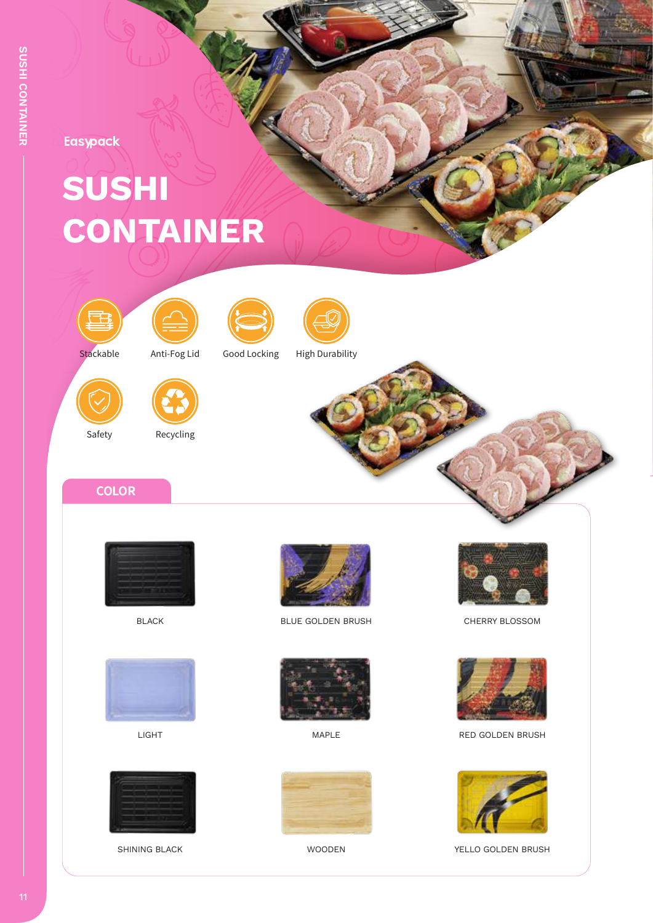Easypack

## **SUSHI CONTAINER**









Safety

Recycling





Stackable Anti-Fog Lid Good Locking High Durability



**COLOR**









BLACK BLOSSOM BLUE GOLDEN BRUSH CHERRY BLOSSOM









LIGHT NAPLE MAPLE NED GOLDEN BRUSH



SHINING BLACK **WOODEN** WOODEN YELLO GOLDEN BRUSH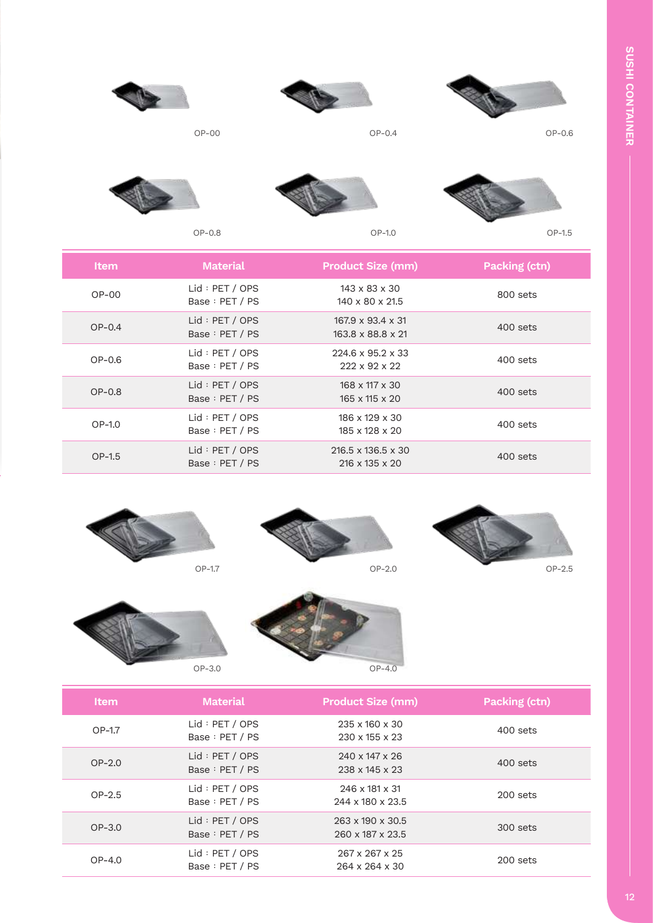



OP-00 OP-0.4 OP-0.6









OP-0.8 OP-1.0 OP-1.5

| <b>Item</b> | <b>Material</b>                   | <b>Product Size (mm)</b>                                     | Packing (ctn) |
|-------------|-----------------------------------|--------------------------------------------------------------|---------------|
| $OP-OO$     | Lid : PET / OPS<br>Base: PET / PS | $143 \times 83 \times 30$<br>$140 \times 80 \times 21.5$     | 800 sets      |
| $OP-0.4$    | Lid : PET / OPS<br>Base: PET / PS | $167.9 \times 93.4 \times 31$<br>163.8 x 88.8 x 21           | 400 sets      |
| $OP-0.6$    | Lid : PET / OPS<br>Base: PET / PS | $224.6 \times 95.2 \times 33$<br>$222 \times 92 \times 22$   | 400 sets      |
| $OP-0.8$    | Lid: PET / OPS<br>Base: PET / PS  | $168 \times 117 \times 30$<br>$165 \times 115 \times 20$     | 400 sets      |
| OP-1.0      | Lid : PET / OPS<br>Base: PET / PS | $186 \times 129 \times 30$<br>185 x 128 x 20                 | 400 sets      |
| OP-1.5      | Lid : PET / OPS<br>Base: PET / PS | $216.5 \times 136.5 \times 30$<br>$216 \times 135 \times 20$ | 400 sets      |









| <b>Item</b> | <b>Material</b>                   | <b>Product Size (mm)</b>                                 | Packing (ctn) |
|-------------|-----------------------------------|----------------------------------------------------------|---------------|
| OP-1.7      | Lid : PET / OPS<br>Base: PET / PS | $235 \times 160 \times 30$<br>$230 \times 155 \times 23$ | 400 sets      |
| $OP-2.0$    | Lid : PET / OPS<br>Base: PET / PS | $240 \times 147 \times 26$<br>238 x 145 x 23             | 400 sets      |
| $OP-2.5$    | Lid : PET / OPS<br>Base: PET / PS | $246 \times 181 \times 31$<br>244 x 180 x 23.5           | $200$ sets    |
| $OP-3.0$    | Lid : PET / OPS<br>Base: PET / PS | $263 \times 190 \times 30.5$<br>260 x 187 x 23.5         | 300 sets      |
| $OP-4.0$    | Lid : PET / OPS<br>Base: PET / PS | 267 x 267 x 25<br>264 x 264 x 30                         | $200$ sets    |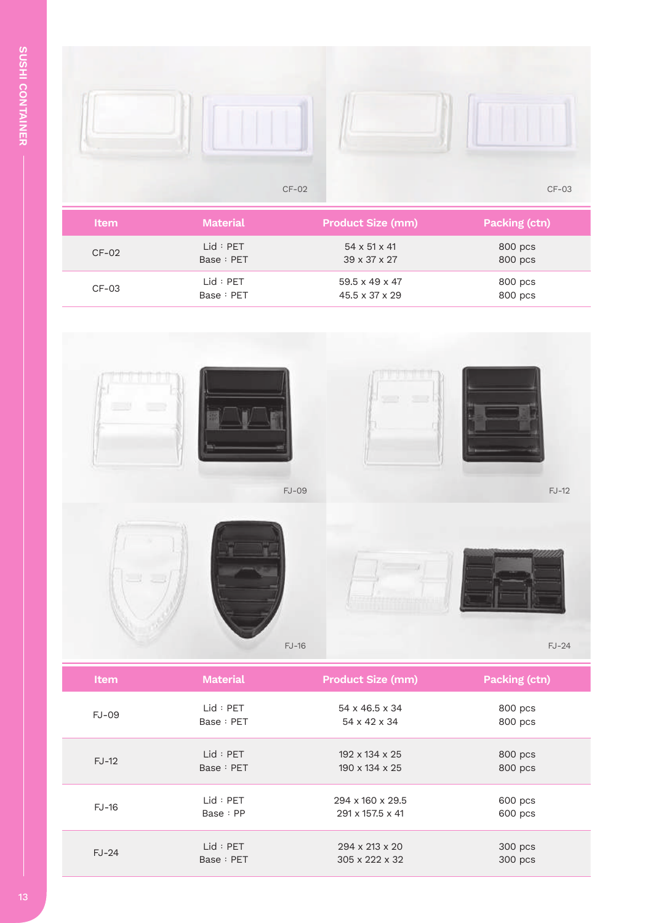Г



| <b>Item</b> | <b>Material</b> | <b>Product Size (mm)</b>   | <b>Packing (ctn)</b> |
|-------------|-----------------|----------------------------|----------------------|
| $CF-02$     | Lid : PET       | $54 \times 51 \times 41$   | 800 pcs              |
|             | Base: PET       | $39 \times 37 \times 27$   | 800 pcs              |
| $CF-03$     | Lid : PET       | $59.5 \times 49 \times 47$ | 800 pcs              |
|             | Base: PET       | $45.5 \times 37 \times 29$ | 800 pcs              |



| Item         | <b>Material</b> | <b>Product Size (mm)</b>   | Packing (ctn) |
|--------------|-----------------|----------------------------|---------------|
| <b>FJ-09</b> | Lid : PET       | $54 \times 46.5 \times 34$ | 800 pcs       |
|              | Base: PET       | 54 x 42 x 34               | 800 pcs       |
| $FJ-12$      | Lid : PET       | $192 \times 134 \times 25$ | 800 pcs       |
|              | Base: PET       | 190 x 134 x 25             | 800 pcs       |
| <b>FJ-16</b> | Lid : PET       | 294 x 160 x 29.5           | 600 pcs       |
|              | Base: PP        | 291 x 157.5 x 41           | 600 pcs       |
| $FJ-24$      | Lid : PET       | 294 x 213 x 20             | 300 pcs       |
|              | Base: PET       | $305 \times 222 \times 32$ | 300 pcs       |